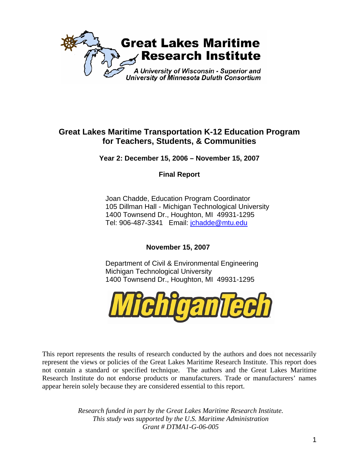

# **Great Lakes Maritime Transportation K-12 Education Program for Teachers, Students, & Communities**

**Year 2: December 15, 2006 – November 15, 2007** 

**Final Report** 

Joan Chadde, Education Program Coordinator 105 Dillman Hall - Michigan Technological University 1400 Townsend Dr., Houghton, MI 49931-1295 Tel: 906-487-3341 Email: [jchadde@mtu.edu](mailto:jchadde@mtu.edu)

**November 15, 2007** 

Department of Civil & Environmental Engineering Michigan Technological University 1400 Townsend Dr., Houghton, MI 49931-1295



This report represents the results of research conducted by the authors and does not necessarily represent the views or policies of the Great Lakes Maritime Research Institute. This report does not contain a standard or specified technique. The authors and the Great Lakes Maritime Research Institute do not endorse products or manufacturers. Trade or manufacturers' names appear herein solely because they are considered essential to this report.

> *Research funded in part by the Great Lakes Maritime Research Institute. This study was supported by the U.S. Maritime Administration Grant # DTMA1-G-06-005*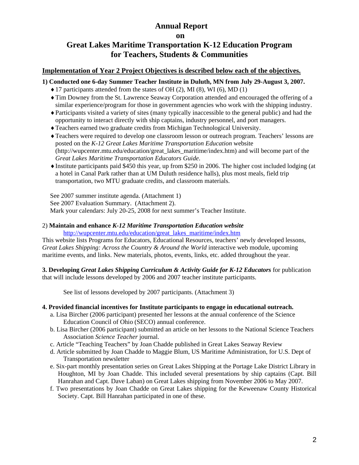# **Annual Report**

 **on** 

# **Great Lakes Maritime Transportation K-12 Education Program for Teachers, Students & Communities**

### **Implementation of Year 2 Project Objectives is described below each of the objectives.**

**1) Conducted one 6-day Summer Teacher Institute in Duluth, MN from July 29-August 3, 2007.**

- $\blacklozenge$  17 participants attended from the states of OH (2), MI (8), WI (6), MD (1)
- ♦Tim Downey from the St. Lawrence Seaway Corporation attended and encouraged the offering of a similar experience/program for those in government agencies who work with the shipping industry.
- ♦Participants visited a variety of sites (many typically inaccessible to the general public) and had the opportunity to interact directly with ship captains, industry personnel, and port managers.
- ♦Teachers earned two graduate credits from Michigan Technological University.
- ♦Teachers were required to develop one classroom lesson or outreach program. Teachers' lessons are posted on the *K-12 Great Lakes Maritime Transportation Education* website (http://wupcenter.mtu.edu/education/great\_lakes\_maritime/index.htm) and will become part of the *Great Lakes Maritime Transportation Educators Guide*.
- ♦Institute participants paid \$450 this year, up from \$250 in 2006. The higher cost included lodging (at a hotel in Canal Park rather than at UM Duluth residence halls), plus most meals, field trip transportation, two MTU graduate credits, and classroom materials.

See 2007 summer institute agenda. (Attachment 1)

See 2007 Evaluation Summary. (Attachment 2).

Mark your calendars: July 20-25, 2008 for next summer's Teacher Institute.

#### 2) **Maintain and enhance** *K-12 Maritime Transportation Education website*

[http://wupcenter.mtu.edu/education/great\\_lakes\\_maritime/index.htm](http://wupcenter.mtu.edu/education/great_lakes_maritime/index.htm)

This website lists Programs for Educators, Educational Resources, teachers' newly developed lessons, *[Great Lakes Shipping: Across the Country & Around the World](http://techalive.mtu.edu/glmri/index.htm)* interactive web module, upcoming maritime events, and links. New materials, photos, events, links, etc. added throughout the year.

**3. Developing** *Great Lakes Shipping Curriculum & Activity Guide for K-12 Educators* for publication that will include lessons developed by 2006 and 2007 teacher institute participants.

See list of lessons developed by 2007 participants. (Attachment 3)

#### **4. Provided financial incentives for Institute participants to engage in educational outreach.**

- a. Lisa Bircher (2006 participant) presented her lessons at the annual conference of the Science Education Council of Ohio (SECO) annual conference.
- b. Lisa Bircher (2006 participant) submitted an article on her lessons to the National Science Teachers Association *Science Teacher* journal.
- c. Article "Teaching Teachers" by Joan Chadde published in Great Lakes Seaway Review
- d. Article submitted by Joan Chadde to Maggie Blum, US Maritime Administration, for U.S. Dept of Transportation newsletter
- e. Six-part monthly presentation series on Great Lakes Shipping at the Portage Lake District Library in Houghton, MI by Joan Chadde. This included several presentations by ship captains (Capt. Bill Hanrahan and Capt. Dave Laban) on Great Lakes shipping from November 2006 to May 2007.
- f. Two presentations by Joan Chadde on Great Lakes shipping for the Keweenaw County Historical Society. Capt. Bill Hanrahan participated in one of these.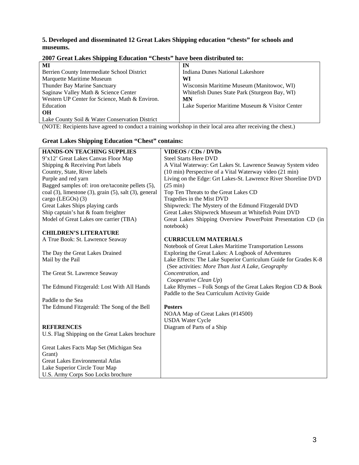#### **5. Developed and disseminated 12 Great Lakes Shipping education "chests" for schools and museums.**

| MI                                             | IN                                             |  |  |  |  |
|------------------------------------------------|------------------------------------------------|--|--|--|--|
| Berrien County Intermediate School District    | Indiana Dunes National Lakeshore               |  |  |  |  |
| Marquette Maritime Museum                      | WI                                             |  |  |  |  |
| Thunder Bay Marine Sanctuary                   | Wisconsin Maritime Museum (Manitowoc, WI)      |  |  |  |  |
| Saginaw Valley Math & Science Center           | White fish Dunes State Park (Sturgeon Bay, WI) |  |  |  |  |
| Western UP Center for Science, Math & Environ. | <b>MN</b>                                      |  |  |  |  |
| Education                                      | Lake Superior Maritime Museum & Visitor Center |  |  |  |  |
| <b>OH</b>                                      |                                                |  |  |  |  |
| Lake County Soil & Water Conservation District |                                                |  |  |  |  |

#### **2007 Great Lakes Shipping Education "Chests" have been distributed to:**

(NOTE: Recipients have agreed to conduct a training workshop in their local area after receiving the chest.)

#### **Great Lakes Shipping Education "Chest" contains: HANDS-ON TEACHING SUPPLIES**  9'x12' Great Lakes Canvas Floor Map Shipping & Receiving Port labels Country, State, River labels Purple and red yarn Bagged samples of: iron ore/taconite pellets (5), coal (3), limestone (3), grain (5), salt (3), general cargo (LEGOs) (3) Great Lakes Ships playing cards Ship captain's hat & foam freighter Model of Great Lakes ore carrier (TBA) **CHILDREN'S LITERATURE**  A True Book: St. Lawrence Seaway The Day the Great Lakes Drained Mail by the Pail The Great St. Lawrence Seaway The Edmund Fitzgerald: Lost With All Hands Paddle to the Sea The Edmund Fitzgerald: The Song of the Bell **REFERENCES**  U.S. Flag Shipping on the Great Lakes brochure Great Lakes Facts Map Set (Michigan Sea Grant) Great Lakes Environmental Atlas Lake Superior Circle Tour Map **VIDEOS / CDs / DVDs**  Steel Starts Here DVD A Vital Waterway: Grt Lakes St. Lawrence Seaway System video (10 min) Perspective of a Vital Waterway video (21 min) Living on the Edge: Grt Lakes-St. Lawrence River Shoreline DVD (25 min) Top Ten Threats to the Great Lakes CD Tragedies in the Mist DVD Shipwreck: The Mystery of the Edmund Fitzgerald DVD Great Lakes Shipwreck Museum at Whitefish Point DVD Great Lakes Shipping Overview PowerPoint Presentation CD (in notebook) **CURRICULUM MATERIALS**  Notebook of Great Lakes Maritime Transportation Lessons [Exploring the Great Lakes: A Logbook of Adventures](http://www.amazon.com/exec/obidos/tg/detail/-/0938682733/qid=1139875188/sr=1-4/ref=sr_1_4/103-2970187-8879830?v=glance&s=books) Lake Effects: The Lake Superior Curriculum Guide for Grades K-8 (See activities: *More Than Just A Lake, Geography Concentration,* and *Cooperative Clean Up*) Lake Rhymes – Folk Songs of the Great Lakes Region CD & Book Paddle to the Sea Curriculum Activity Guide **Posters**  NOAA Map of Great Lakes (#14500) USDA Water Cycle Diagram of Parts of a Ship

U.S. Army Corps Soo Locks brochure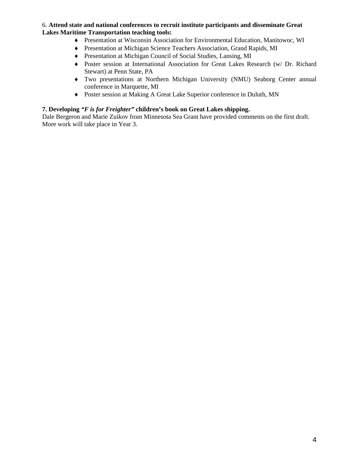#### 6. **Attend state and national conferences to recruit institute participants and disseminate Great Lakes Maritime Transportation teaching tools:**

- ♦ Presentation at Wisconsin Association for Environmental Education, Manitowoc, WI
- ♦ Presentation at Michigan Science Teachers Association, Grand Rapids, MI
- ♦ Presentation at Michigan Council of Social Studies, Lansing, MI
- ♦ Poster session at International Association for Great Lakes Research (w/ Dr. Richard Stewart) at Penn State, PA
- ♦ Two presentations at Northern Michigan University (NMU) Seaborg Center annual conference in Marquette, MI
- ♦ Poster session at Making A Great Lake Superior conference in Duluth, MN

#### **7. Developing** *"F is for Freighter"* **children's book on Great Lakes shipping.**

Dale Bergeron and Marie Zuikov from Minnesota Sea Grant have provided comments on the first draft. More work will take place in Year 3.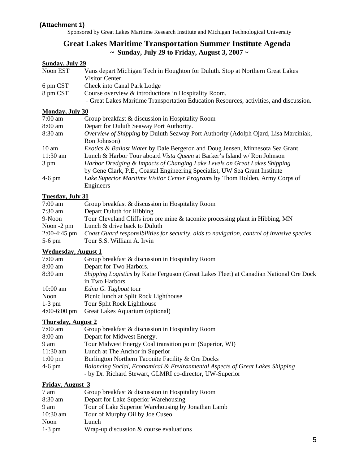#### **(Attachment 1)**

Sponsored by Great Lakes Maritime Research Institute and Michigan Technological University

# **Great Lakes Maritime Transportation Summer Institute Agenda ~ Sunday, July 29 to Friday, August 3, 2007 ~**

## **Sunday, July 29**

| Noon EST  | Vans depart Michigan Tech in Houghton for Duluth. Stop at Northern Great Lakes |
|-----------|--------------------------------------------------------------------------------|
|           | Visitor Center.                                                                |
| 6 pm CST  | Check into Canal Park Lodge                                                    |
| $00$ $00$ | $\alpha$ , $\alpha$ , $\alpha$ , $\alpha$                                      |

- 8 pm CST Course overview & introductions in Hospitality Room.
	- Great Lakes Maritime Transportation Education Resources, activities, and discussion.

### **Monday, July 30**

| $7:00$ am         | Group breakfast & discussion in Hospitality Room                                         |
|-------------------|------------------------------------------------------------------------------------------|
| $8:00 \text{ am}$ | Depart for Duluth Seaway Port Authority.                                                 |
| $8:30$ am         | Overview of Shipping by Duluth Seaway Port Authority (Adolph Ojard, Lisa Marciniak,      |
|                   | Ron Johnson)                                                                             |
| $10 \text{ am}$   | <i>Exotics &amp; Ballast Water by Dale Bergeron and Doug Jensen, Minnesota Sea Grant</i> |
| 11:30 am          | Lunch & Harbor Tour aboard Vista Queen at Barker's Island w/ Ron Johnson                 |
| 3 pm              | Harbor Dredging & Impacts of Changing Lake Levels on Great Lakes Shipping                |
|                   | by Gene Clark, P.E., Coastal Engineering Specialist, UW Sea Grant Institute              |
| $4-6$ pm          | Lake Superior Maritime Visitor Center Programs by Thom Holden, Army Corps of             |
|                   | Engineers                                                                                |

#### **Tuesday, July 31**

| $7:00 \text{ am}$ | Group breakfast & discussion in Hospitality Room                                           |
|-------------------|--------------------------------------------------------------------------------------------|
| $7:30$ am         | Depart Duluth for Hibbing                                                                  |
| 9-Noon            | Tour Cleveland Cliffs iron ore mine & taconite processing plant in Hibbing, MN             |
| Noon $-2$ pm      | Lunch & drive back to Duluth                                                               |
| $2:00-4:45$ pm    | Coast Guard responsibilities for security, aids to navigation, control of invasive species |
| $5-6$ pm          | Tour S.S. William A. Irvin                                                                 |

#### **Wednesday, August 1**

| $7:00$ am                                                                                                | Group breakfast & discussion in Hospitality Room |  |  |
|----------------------------------------------------------------------------------------------------------|--------------------------------------------------|--|--|
| $8:00$ am                                                                                                | Depart for Two Harbors.                          |  |  |
| 8:30 am<br><i>Shipping Logistics</i> by Katie Ferguson (Great Lakes Fleet) at Canadian National Ore Dock |                                                  |  |  |
|                                                                                                          | in Two Harbors                                   |  |  |
| $10:00$ am                                                                                               | Edna G. Tugboat tour                             |  |  |
| Noon                                                                                                     | Picnic lunch at Split Rock Lighthouse            |  |  |
| $1-3$ pm                                                                                                 | Tour Split Rock Lighthouse                       |  |  |
| $4:00-6:00$ pm                                                                                           | Great Lakes Aquarium (optional)                  |  |  |

#### **Thursday, August 2**

| $7:00$ am         | Group breakfast & discussion in Hospitality Room                                        |
|-------------------|-----------------------------------------------------------------------------------------|
| 8:00 am           | Depart for Midwest Energy.                                                              |
| 9 am              | Tour Midwest Energy Coal transition point (Superior, WI)                                |
| $11:30$ am        | Lunch at The Anchor in Superior                                                         |
| $1:00 \text{ pm}$ | Burlington Northern Taconite Facility & Ore Docks                                       |
| $4-6$ pm          | <b>Balancing Social, Economical &amp; Environmental Aspects of Great Lakes Shipping</b> |
|                   | - by Dr. Richard Stewart, GLMRI co-director, UW-Superior                                |

#### **Friday, August 3**

| 7 am     | Group breakfast & discussion in Hospitality Room   |
|----------|----------------------------------------------------|
| 8:30 am  | Depart for Lake Superior Warehousing               |
| 9 am     | Tour of Lake Superior Warehousing by Jonathan Lamb |
| 10:30 am | Tour of Murphy Oil by Joe Cuseo                    |
| Noon     | Lunch                                              |
| $1-3$ pm | Wrap-up discussion $&$ course evaluations          |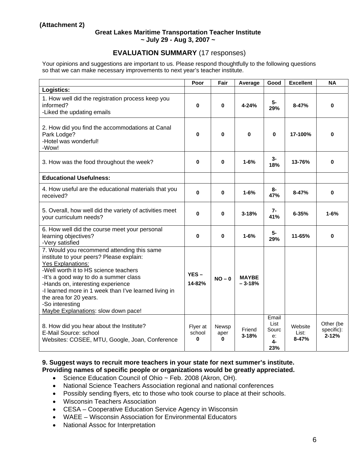#### **Great Lakes Maritime Transportation Teacher Institute ~ July 29 - Aug 3, 2007 ~**

## **EVALUATION SUMMARY** (17 responses)

Your opinions and suggestions are important to us. Please respond thoughtfully to the following questions so that we can make necessary improvements to next year's teacher institute.

|                                                                                                                                                                                                                                                                                                                                                                                        | Poor                    | Fair               | Average                  | Good                                      | <b>Excellent</b>              | <b>NA</b>                            |
|----------------------------------------------------------------------------------------------------------------------------------------------------------------------------------------------------------------------------------------------------------------------------------------------------------------------------------------------------------------------------------------|-------------------------|--------------------|--------------------------|-------------------------------------------|-------------------------------|--------------------------------------|
| Logistics:                                                                                                                                                                                                                                                                                                                                                                             |                         |                    |                          |                                           |                               |                                      |
| 1. How well did the registration process keep you<br>informed?<br>-Liked the updating emails                                                                                                                                                                                                                                                                                           | 0                       | 0                  | 4-24%                    | 5-<br>29%                                 | $8 - 47%$                     | $\bf{0}$                             |
| 2. How did you find the accommodations at Canal<br>Park Lodge?<br>-Hotel was wonderful!<br>-Wow!                                                                                                                                                                                                                                                                                       | 0                       | 0                  | $\bf{0}$                 | $\bf{0}$                                  | 17-100%                       | O                                    |
| 3. How was the food throughout the week?                                                                                                                                                                                                                                                                                                                                               | 0                       | 0                  | $1 - 6%$                 | $3-$<br>18%                               | 13-76%                        | $\bf{0}$                             |
| <b>Educational Usefulness:</b>                                                                                                                                                                                                                                                                                                                                                         |                         |                    |                          |                                           |                               |                                      |
| 4. How useful are the educational materials that you<br>received?                                                                                                                                                                                                                                                                                                                      | 0                       | 0                  | $1 - 6%$                 | 8-<br>47%                                 | $8 - 47%$                     | $\bf{0}$                             |
| 5. Overall, how well did the variety of activities meet<br>your curriculum needs?                                                                                                                                                                                                                                                                                                      | $\bf{0}$                | 0                  | $3 - 18%$                | $7-$<br>41%                               | $6 - 35%$                     | $1 - 6%$                             |
| 6. How well did the course meet your personal<br>learning objectives?<br>-Very satisfied                                                                                                                                                                                                                                                                                               | 0                       | 0                  | $1 - 6%$                 | 5-<br>29%                                 | 11-65%                        | $\bf{0}$                             |
| 7. Would you recommend attending this same<br>institute to your peers? Please explain:<br><b>Yes Explanations:</b><br>-Well worth it to HS science teachers<br>-It's a good way to do a summer class<br>-Hands on, interesting experience<br>-I learned more in 1 week than I've learned living in<br>the area for 20 years.<br>-So interesting<br>Maybe Explanations: slow down pace! | $YES -$<br>14-82%       | $NO - 0$           | <b>MAYBE</b><br>$-3-18%$ |                                           |                               |                                      |
| 8. How did you hear about the Institute?<br>E-Mail Source: school<br>Websites: COSEE, MTU, Google, Joan, Conference                                                                                                                                                                                                                                                                    | Flyer at<br>school<br>0 | Newsp<br>aper<br>0 | Friend<br>$3 - 18%$      | Email<br>List<br>Sourc<br>e:<br>4-<br>23% | Website<br>List:<br>$8 - 47%$ | Other (be<br>specific):<br>$2 - 12%$ |

#### **9. Suggest ways to recruit more teachers in your state for next summer's institute. Providing names of specific people or organizations would be greatly appreciated.**

- Science Education Council of Ohio ~ Feb. 2008 (Akron, OH).
- National Science Teachers Association regional and national conferences
- Possibly sending flyers, etc to those who took course to place at their schools.
- Wisconsin Teachers Association
- CESA Cooperative Education Service Agency in Wisconsin
- WAEE Wisconsin Association for Environmental Educators
- National Assoc for Interpretation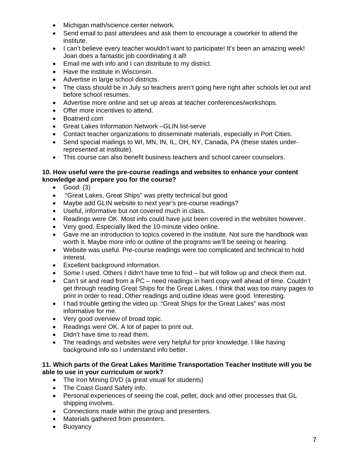- Michigan math/science center network.
- Send email to past attendees and ask them to encourage a coworker to attend the institute.
- I can't believe every teacher wouldn't want to participate! It's been an amazing week! Joan does a fantastic job coordinating it all!
- Email me with info and I can distribute to my district.
- Have the institute in Wisconsin.
- Advertise in large school districts.
- The class should be in July so teachers aren't going here right after schools let out and before school resumes.
- Advertise more online and set up areas at teacher conferences/workshops.
- Offer more incentives to attend.
- Boatnerd.com
- Great Lakes Information Network –GLIN list-serve
- Contact teacher organizations to disseminate materials, especially in Port Cities.
- Send special mailings to WI, MN, IN, IL, OH, NY, Canada, PA (these states underrepresented at institute).
- This course can also benefit business teachers and school career counselors.

#### **10. How useful were the pre-course readings and websites to enhance your content knowledge and prepare you for the course?**

- Good. (3)
- "Great Lakes, Great Ships" was pretty technical but good
- Maybe add GLIN website to next year's pre-course readings?
- Useful, informative but not covered much in class.
- Readings were OK. Most info could have just been covered in the websites however.
- Very good. Especially liked the 10-minute video online.
- Gave me an introduction to topics covered in the institute. Not sure the handbook was worth it. Maybe more info or outline of the programs we'll be seeing or hearing.
- Website was useful. Pre-course readings were too complicated and technical to hold interest.
- Excellent background information.
- Some I used. Others I didn't have time to find but will follow up and check them out.
- Can't sit and read from a PC need readings in hard copy well ahead of time. Couldn't get through reading Great Ships for the Great Lakes. I think that was too many pages to print in order to read. Other readings and outline ideas were good. Interesting.
- I had trouble getting the video up. "Great Ships for the Great Lakes" was most informative for me.
- Very good overview of broad topic.
- Readings were OK. A lot of paper to print out.
- Didn't have time to read them.
- The readings and websites were very helpful for prior knowledge. I like having background info so I understand info better.

#### **11. Which parts of the Great Lakes Maritime Transportation Teacher Institute will you be able to use in your curriculum or work?**

- The Iron Mining DVD (a great visual for students)
- The Coast Guard Safety info.
- Personal experiences of seeing the coal, pellet, dock and other processes that GL shipping involves.
- Connections made within the group and presenters.
- Materials gathered from presenters.
- Buoyancy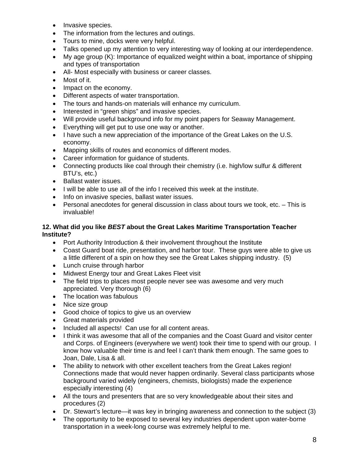- Invasive species.
- The information from the lectures and outings.
- Tours to mine, docks were very helpful.
- Talks opened up my attention to very interesting way of looking at our interdependence.
- My age group (K): Importance of equalized weight within a boat, importance of shipping and types of transportation
- All- Most especially with business or career classes.
- Most of it.
- Impact on the economy.
- Different aspects of water transportation.
- The tours and hands-on materials will enhance my curriculum.
- Interested in "green ships" and invasive species.
- Will provide useful background info for my point papers for Seaway Management.
- Everything will get put to use one way or another.
- I have such a new appreciation of the importance of the Great Lakes on the U.S. economy.
- Mapping skills of routes and economics of different modes.
- Career information for guidance of students.
- Connecting products like coal through their chemistry (i.e. high/low sulfur & different BTU's, etc.)
- Ballast water issues.
- I will be able to use all of the info I received this week at the institute.
- Info on invasive species, ballast water issues.
- Personal anecdotes for general discussion in class about tours we took, etc. This is invaluable!

#### **12. What did you like** *BEST* **about the Great Lakes Maritime Transportation Teacher Institute?**

- Port Authority Introduction & their involvement throughout the Institute
- Coast Guard boat ride, presentation, and harbor tour. These guys were able to give us a little different of a spin on how they see the Great Lakes shipping industry. (5)
- Lunch cruise through harbor
- Midwest Energy tour and Great Lakes Fleet visit
- The field trips to places most people never see was awesome and very much appreciated. Very thorough (6)
- The location was fabulous
- Nice size group
- Good choice of topics to give us an overview
- Great materials provided
- Included all aspects! Can use for all content areas.
- I think it was awesome that all of the companies and the Coast Guard and visitor center and Corps. of Engineers (everywhere we went) took their time to spend with our group. I know how valuable their time is and feel I can't thank them enough. The same goes to Joan, Dale, Lisa & all.
- The ability to network with other excellent teachers from the Great Lakes region! Connections made that would never happen ordinarily. Several class participants whose background varied widely (engineers, chemists, biologists) made the experience especially interesting (4)
- All the tours and presenters that are so very knowledgeable about their sites and procedures (2)
- Dr. Stewart's lecture—it was key in bringing awareness and connection to the subject (3)
- The opportunity to be exposed to several key industries dependent upon water-borne transportation in a week-long course was extremely helpful to me.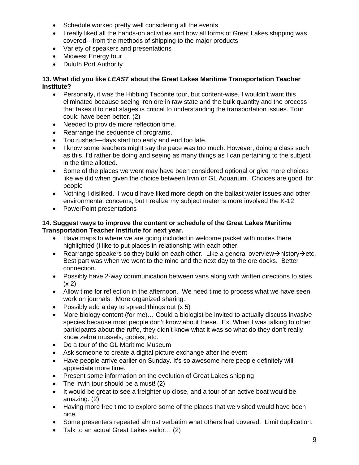- Schedule worked pretty well considering all the events
- I really liked all the hands-on activities and how all forms of Great Lakes shipping was covered---from the methods of shipping to the major products
- Variety of speakers and presentations
- Midwest Energy tour
- Duluth Port Authority

### **13. What did you like** *LEAST* **about the Great Lakes Maritime Transportation Teacher Institute?**

- Personally, it was the Hibbing Taconite tour, but content-wise, I wouldn't want this eliminated because seeing iron ore in raw state and the bulk quantity and the process that takes it to next stages is critical to understanding the transportation issues. Tour could have been better. (2)
- Needed to provide more reflection time.
- Rearrange the sequence of programs.
- Too rushed—days start too early and end too late.
- I know some teachers might say the pace was too much. However, doing a class such as this, I'd rather be doing and seeing as many things as I can pertaining to the subject in the time allotted.
- Some of the places we went may have been considered optional or give more choices like we did when given the choice between Irvin or GL Aquarium. Choices are good for people
- Nothing I disliked. I would have liked more depth on the ballast water issues and other environmental concerns, but I realize my subject mater is more involved the K-12
- PowerPoint presentations

#### **14. Suggest ways to improve the content or schedule of the Great Lakes Maritime Transportation Teacher Institute for next year.**

- Have maps to where we are going included in welcome packet with routes there highlighted (I like to put places in relationship with each other
- Rearrange speakers so they build on each other. Like a general overview $\rightarrow$ history $\rightarrow$ etc. Best part was when we went to the mine and the next day to the ore docks. Better connection.
- Possibly have 2-way communication between vans along with written directions to sites  $(x 2)$
- Allow time for reflection in the afternoon. We need time to process what we have seen, work on journals. More organized sharing.
- Possibly add a day to spread things out  $(x 5)$
- More biology content (for me)… Could a biologist be invited to actually discuss invasive species because most people don't know about these. Ex. When I was talking to other participants about the ruffe, they didn't know what it was so what do they don't really know zebra mussels, gobies, etc.
- Do a tour of the GL Maritime Museum
- Ask someone to create a digital picture exchange after the event
- Have people arrive earlier on Sunday. It's so awesome here people definitely will appreciate more time.
- Present some information on the evolution of Great Lakes shipping
- The Irwin tour should be a must! (2)
- It would be great to see a freighter up close, and a tour of an active boat would be amazing. (2)
- Having more free time to explore some of the places that we visited would have been nice.
- Some presenters repeated almost verbatim what others had covered. Limit duplication.
- Talk to an actual Great Lakes sailor… (2)